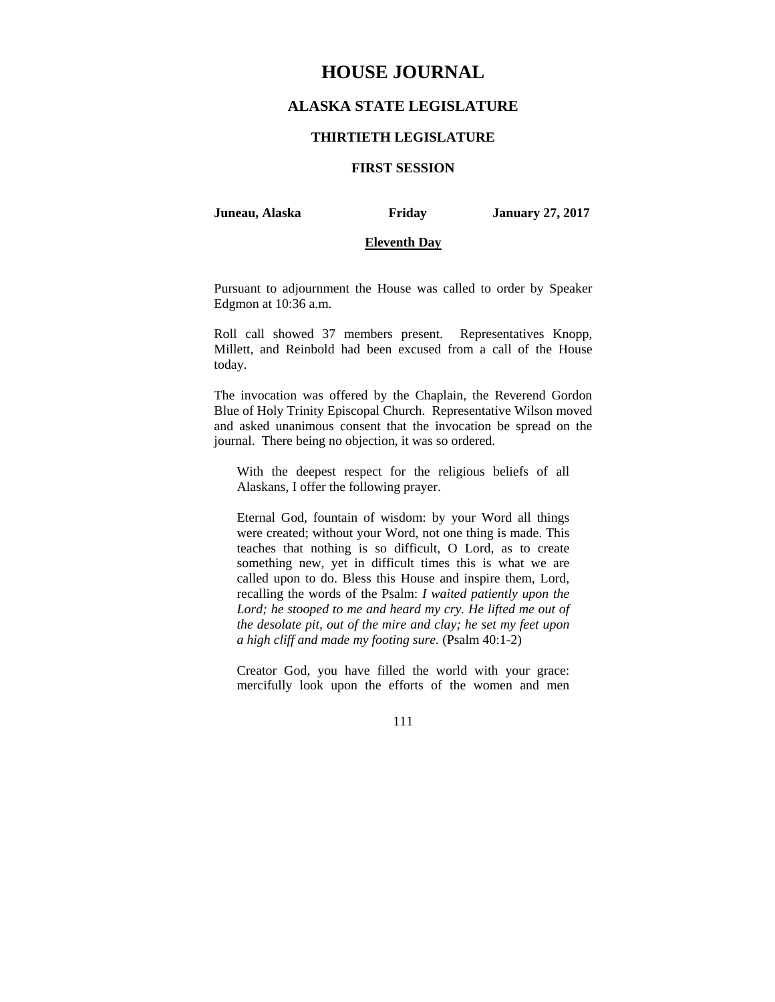# **HOUSE JOURNAL**

## **ALASKA STATE LEGISLATURE**

#### **THIRTIETH LEGISLATURE**

## **FIRST SESSION**

**Juneau, Alaska Friday January 27, 2017** 

## **Eleventh Day**

Pursuant to adjournment the House was called to order by Speaker Edgmon at 10:36 a.m.

Roll call showed 37 members present. Representatives Knopp, Millett, and Reinbold had been excused from a call of the House today.

The invocation was offered by the Chaplain, the Reverend Gordon Blue of Holy Trinity Episcopal Church. Representative Wilson moved and asked unanimous consent that the invocation be spread on the journal. There being no objection, it was so ordered.

With the deepest respect for the religious beliefs of all Alaskans, I offer the following prayer.

Eternal God, fountain of wisdom: by your Word all things were created; without your Word, not one thing is made. This teaches that nothing is so difficult, O Lord, as to create something new, yet in difficult times this is what we are called upon to do. Bless this House and inspire them, Lord, recalling the words of the Psalm: *I waited patiently upon the*  Lord; he stooped to me and heard my cry. He lifted me out of *the desolate pit, out of the mire and clay; he set my feet upon a high cliff and made my footing sure.* (Psalm 40:1-2)

Creator God, you have filled the world with your grace: mercifully look upon the efforts of the women and men

111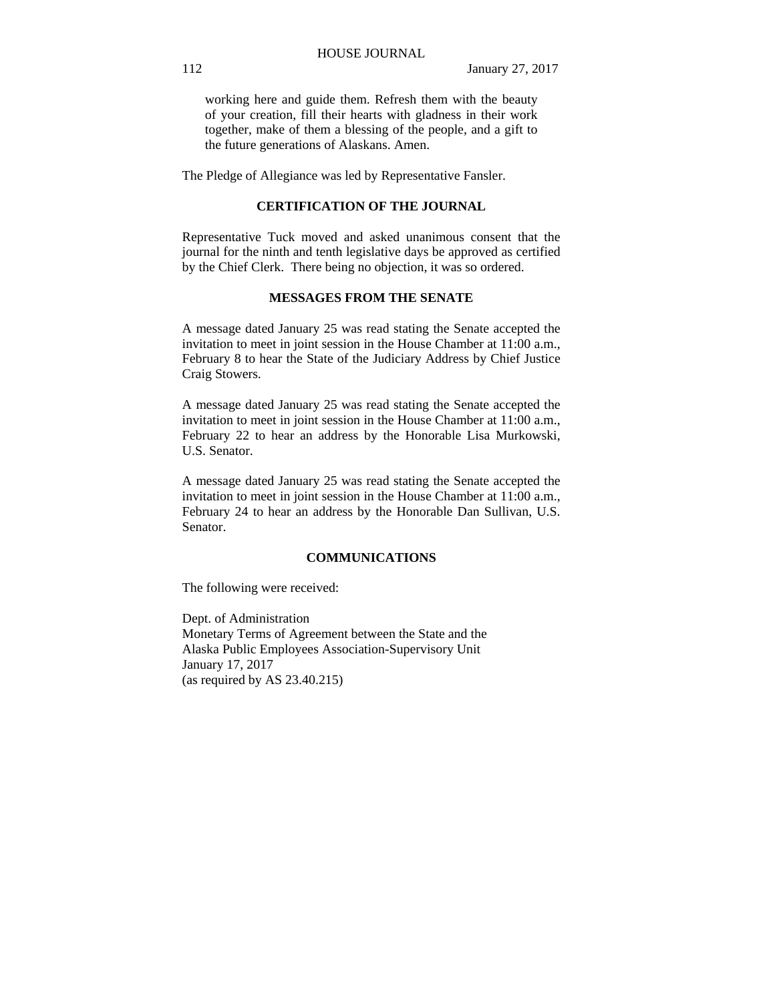working here and guide them. Refresh them with the beauty of your creation, fill their hearts with gladness in their work together, make of them a blessing of the people, and a gift to the future generations of Alaskans. Amen.

The Pledge of Allegiance was led by Representative Fansler.

## **CERTIFICATION OF THE JOURNAL**

Representative Tuck moved and asked unanimous consent that the journal for the ninth and tenth legislative days be approved as certified by the Chief Clerk. There being no objection, it was so ordered.

## **MESSAGES FROM THE SENATE**

A message dated January 25 was read stating the Senate accepted the invitation to meet in joint session in the House Chamber at 11:00 a.m., February 8 to hear the State of the Judiciary Address by Chief Justice Craig Stowers.

A message dated January 25 was read stating the Senate accepted the invitation to meet in joint session in the House Chamber at 11:00 a.m., February 22 to hear an address by the Honorable Lisa Murkowski, U.S. Senator.

A message dated January 25 was read stating the Senate accepted the invitation to meet in joint session in the House Chamber at 11:00 a.m., February 24 to hear an address by the Honorable Dan Sullivan, U.S. Senator.

#### **COMMUNICATIONS**

The following were received:

Dept. of Administration Monetary Terms of Agreement between the State and the Alaska Public Employees Association-Supervisory Unit January 17, 2017 (as required by AS 23.40.215)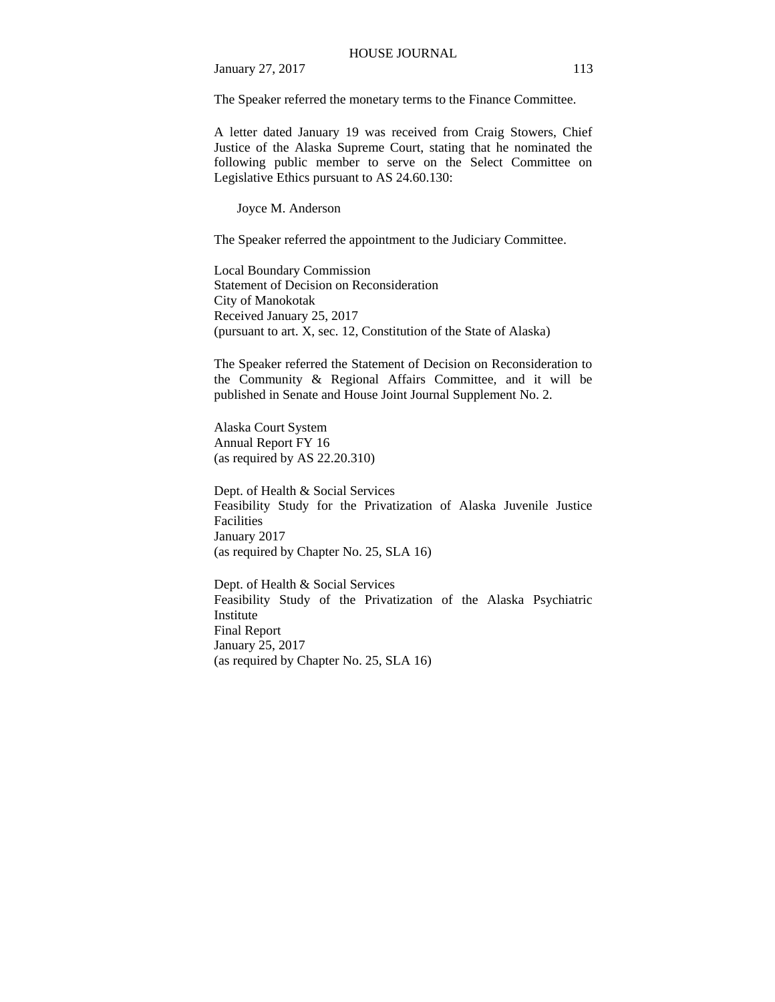The Speaker referred the monetary terms to the Finance Committee.

A letter dated January 19 was received from Craig Stowers, Chief Justice of the Alaska Supreme Court, stating that he nominated the following public member to serve on the Select Committee on Legislative Ethics pursuant to AS 24.60.130:

Joyce M. Anderson

The Speaker referred the appointment to the Judiciary Committee.

Local Boundary Commission Statement of Decision on Reconsideration City of Manokotak Received January 25, 2017 (pursuant to art. X, sec. 12, Constitution of the State of Alaska)

The Speaker referred the Statement of Decision on Reconsideration to the Community & Regional Affairs Committee, and it will be published in Senate and House Joint Journal Supplement No. 2.

Alaska Court System Annual Report FY 16 (as required by AS 22.20.310)

Dept. of Health & Social Services Feasibility Study for the Privatization of Alaska Juvenile Justice Facilities January 2017 (as required by Chapter No. 25, SLA 16)

Dept. of Health & Social Services Feasibility Study of the Privatization of the Alaska Psychiatric Institute Final Report January 25, 2017 (as required by Chapter No. 25, SLA 16)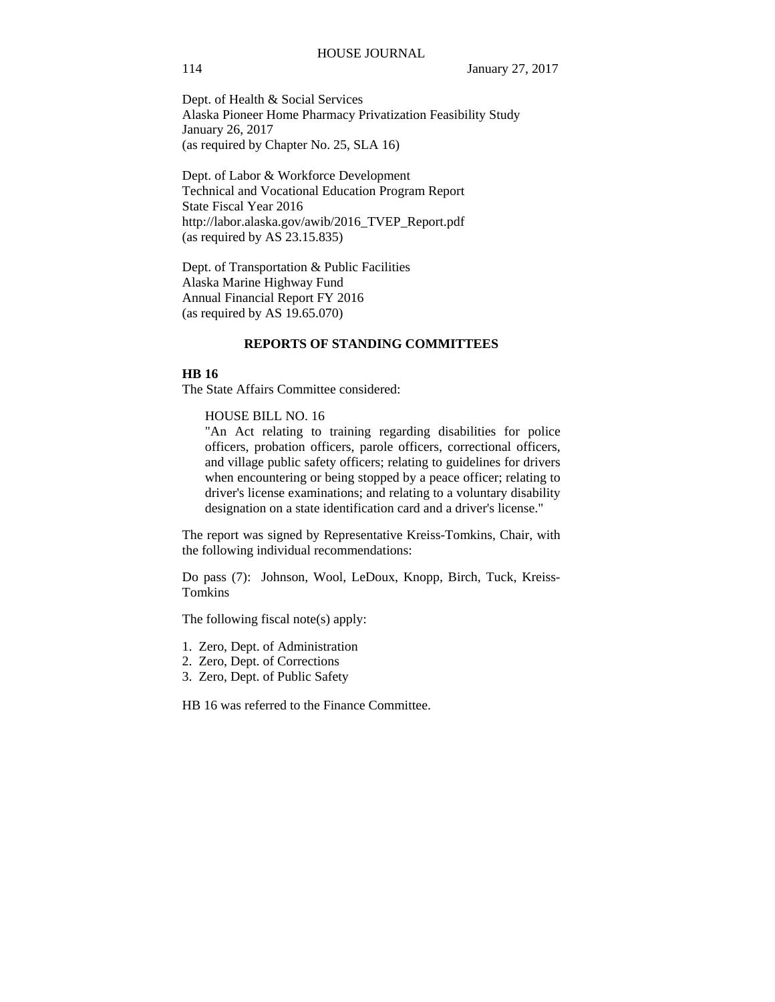Dept. of Health & Social Services Alaska Pioneer Home Pharmacy Privatization Feasibility Study January 26, 2017 (as required by Chapter No. 25, SLA 16)

Dept. of Labor & Workforce Development Technical and Vocational Education Program Report State Fiscal Year 2016 http://labor.alaska.gov/awib/2016\_TVEP\_Report.pdf (as required by AS 23.15.835)

Dept. of Transportation & Public Facilities Alaska Marine Highway Fund Annual Financial Report FY 2016 (as required by AS 19.65.070)

## **REPORTS OF STANDING COMMITTEES**

#### **HB 16**

The State Affairs Committee considered:

HOUSE BILL NO. 16

"An Act relating to training regarding disabilities for police officers, probation officers, parole officers, correctional officers, and village public safety officers; relating to guidelines for drivers when encountering or being stopped by a peace officer; relating to driver's license examinations; and relating to a voluntary disability designation on a state identification card and a driver's license."

The report was signed by Representative Kreiss-Tomkins, Chair, with the following individual recommendations:

Do pass (7): Johnson, Wool, LeDoux, Knopp, Birch, Tuck, Kreiss-Tomkins

The following fiscal note(s) apply:

- 1. Zero, Dept. of Administration
- 2. Zero, Dept. of Corrections
- 3. Zero, Dept. of Public Safety

HB 16 was referred to the Finance Committee.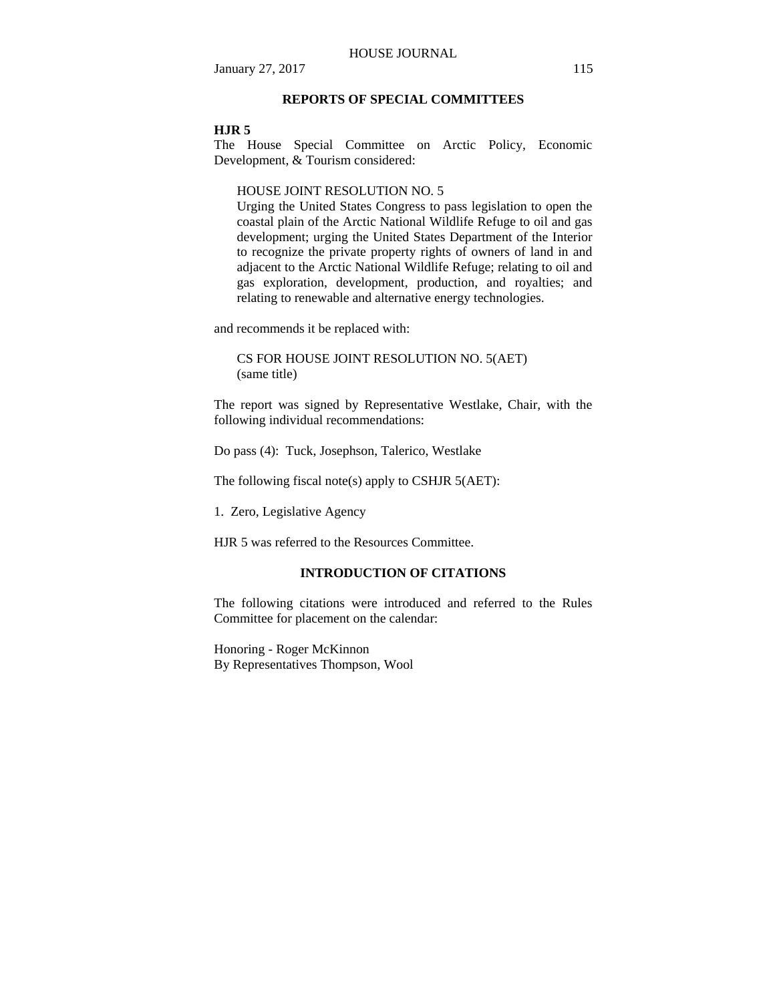## **REPORTS OF SPECIAL COMMITTEES**

### **HJR 5**

The House Special Committee on Arctic Policy, Economic Development, & Tourism considered:

#### HOUSE JOINT RESOLUTION NO. 5

Urging the United States Congress to pass legislation to open the coastal plain of the Arctic National Wildlife Refuge to oil and gas development; urging the United States Department of the Interior to recognize the private property rights of owners of land in and adjacent to the Arctic National Wildlife Refuge; relating to oil and gas exploration, development, production, and royalties; and relating to renewable and alternative energy technologies.

and recommends it be replaced with:

CS FOR HOUSE JOINT RESOLUTION NO. 5(AET) (same title)

The report was signed by Representative Westlake, Chair, with the following individual recommendations:

Do pass (4): Tuck, Josephson, Talerico, Westlake

The following fiscal note(s) apply to CSHJR 5(AET):

1. Zero, Legislative Agency

HJR 5 was referred to the Resources Committee.

## **INTRODUCTION OF CITATIONS**

The following citations were introduced and referred to the Rules Committee for placement on the calendar:

Honoring - Roger McKinnon By Representatives Thompson, Wool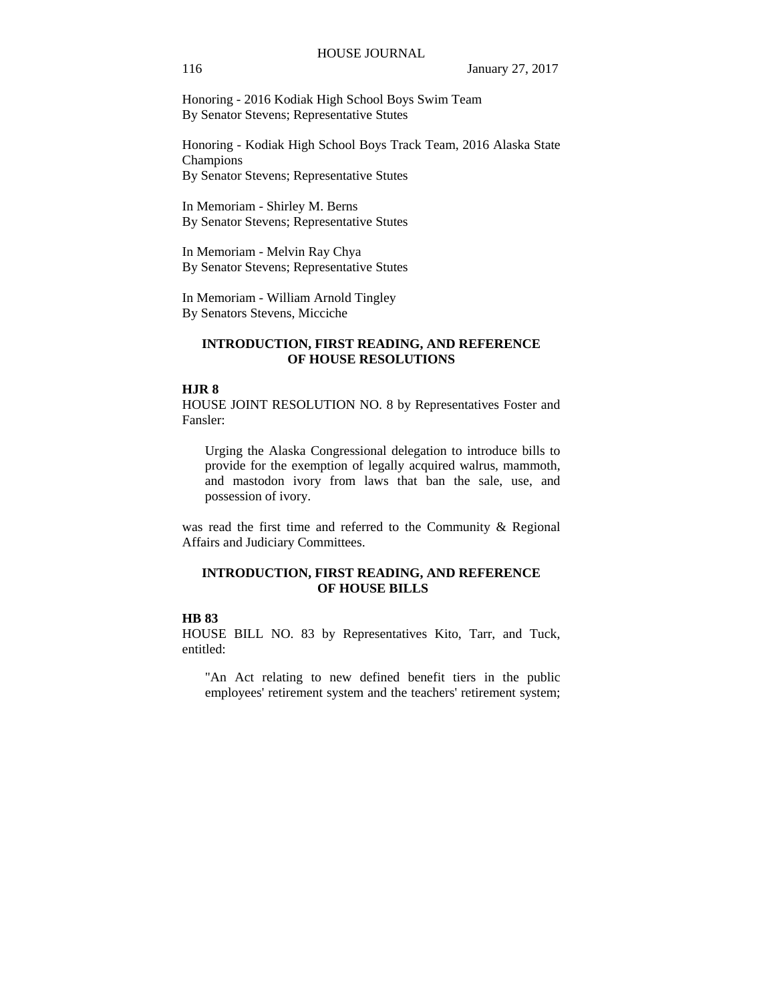Honoring - 2016 Kodiak High School Boys Swim Team By Senator Stevens; Representative Stutes

Honoring - Kodiak High School Boys Track Team, 2016 Alaska State Champions By Senator Stevens; Representative Stutes

In Memoriam - Shirley M. Berns By Senator Stevens; Representative Stutes

In Memoriam - Melvin Ray Chya By Senator Stevens; Representative Stutes

In Memoriam - William Arnold Tingley By Senators Stevens, Micciche

## **INTRODUCTION, FIRST READING, AND REFERENCE OF HOUSE RESOLUTIONS**

## **HJR 8**

HOUSE JOINT RESOLUTION NO. 8 by Representatives Foster and Fansler:

Urging the Alaska Congressional delegation to introduce bills to provide for the exemption of legally acquired walrus, mammoth, and mastodon ivory from laws that ban the sale, use, and possession of ivory.

was read the first time and referred to the Community & Regional Affairs and Judiciary Committees.

## **INTRODUCTION, FIRST READING, AND REFERENCE OF HOUSE BILLS**

## **HB 83**

HOUSE BILL NO. 83 by Representatives Kito, Tarr, and Tuck, entitled:

"An Act relating to new defined benefit tiers in the public employees' retirement system and the teachers' retirement system;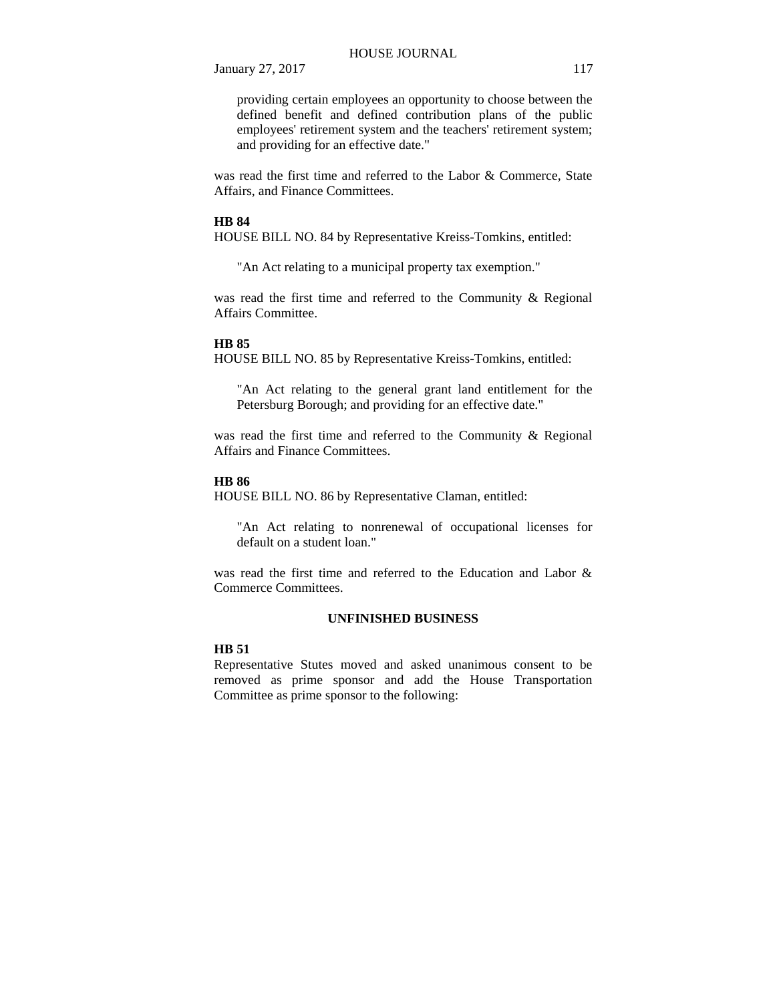providing certain employees an opportunity to choose between the defined benefit and defined contribution plans of the public employees' retirement system and the teachers' retirement system; and providing for an effective date."

was read the first time and referred to the Labor & Commerce, State Affairs, and Finance Committees.

#### **HB 84**

HOUSE BILL NO. 84 by Representative Kreiss-Tomkins, entitled:

"An Act relating to a municipal property tax exemption."

was read the first time and referred to the Community & Regional Affairs Committee.

#### **HB 85**

HOUSE BILL NO. 85 by Representative Kreiss-Tomkins, entitled:

"An Act relating to the general grant land entitlement for the Petersburg Borough; and providing for an effective date."

was read the first time and referred to the Community & Regional Affairs and Finance Committees.

### **HB 86**

HOUSE BILL NO. 86 by Representative Claman, entitled:

"An Act relating to nonrenewal of occupational licenses for default on a student loan."

was read the first time and referred to the Education and Labor & Commerce Committees.

## **UNFINISHED BUSINESS**

## **HB 51**

Representative Stutes moved and asked unanimous consent to be removed as prime sponsor and add the House Transportation Committee as prime sponsor to the following: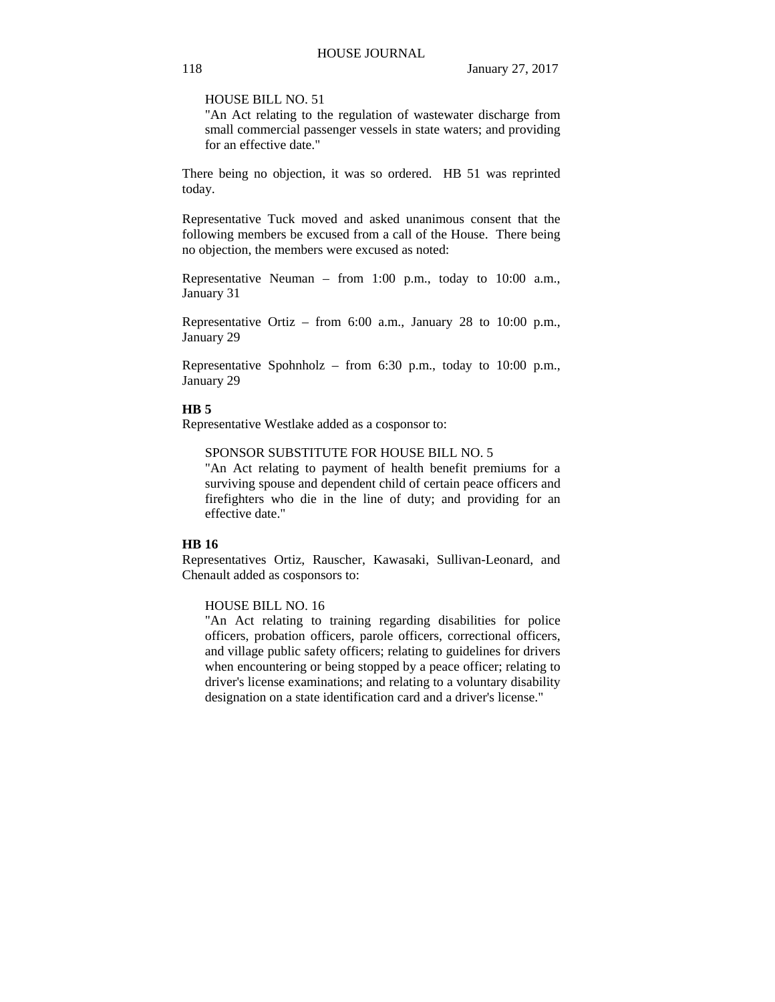HOUSE BILL NO. 51

"An Act relating to the regulation of wastewater discharge from small commercial passenger vessels in state waters; and providing for an effective date."

There being no objection, it was so ordered. HB 51 was reprinted today.

Representative Tuck moved and asked unanimous consent that the following members be excused from a call of the House. There being no objection, the members were excused as noted:

Representative Neuman – from 1:00 p.m., today to 10:00 a.m., January 31

Representative Ortiz – from 6:00 a.m., January 28 to 10:00 p.m., January 29

Representative Spohnholz – from 6:30 p.m., today to 10:00 p.m., January 29

## **HB 5**

Representative Westlake added as a cosponsor to:

SPONSOR SUBSTITUTE FOR HOUSE BILL NO. 5

"An Act relating to payment of health benefit premiums for a surviving spouse and dependent child of certain peace officers and firefighters who die in the line of duty; and providing for an effective date."

## **HB 16**

Representatives Ortiz, Rauscher, Kawasaki, Sullivan-Leonard, and Chenault added as cosponsors to:

#### HOUSE BILL NO. 16

"An Act relating to training regarding disabilities for police officers, probation officers, parole officers, correctional officers, and village public safety officers; relating to guidelines for drivers when encountering or being stopped by a peace officer; relating to driver's license examinations; and relating to a voluntary disability designation on a state identification card and a driver's license."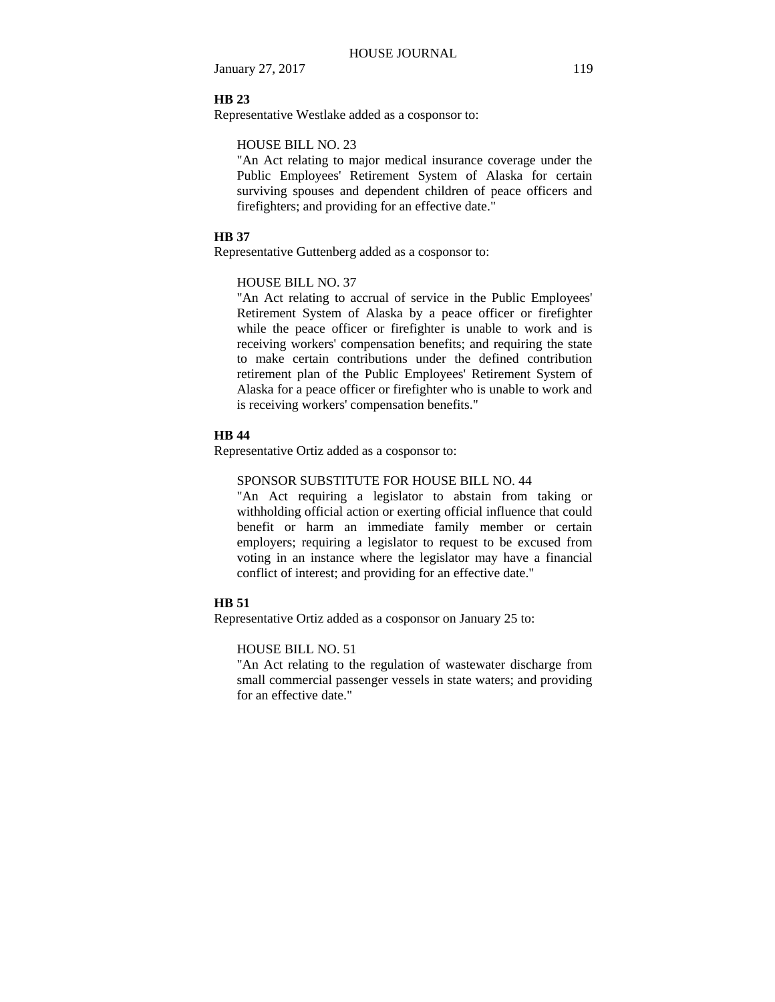### **HB 23**

Representative Westlake added as a cosponsor to:

## HOUSE BILL NO. 23

"An Act relating to major medical insurance coverage under the Public Employees' Retirement System of Alaska for certain surviving spouses and dependent children of peace officers and firefighters; and providing for an effective date."

## **HB 37**

Representative Guttenberg added as a cosponsor to:

### HOUSE BILL NO. 37

"An Act relating to accrual of service in the Public Employees' Retirement System of Alaska by a peace officer or firefighter while the peace officer or firefighter is unable to work and is receiving workers' compensation benefits; and requiring the state to make certain contributions under the defined contribution retirement plan of the Public Employees' Retirement System of Alaska for a peace officer or firefighter who is unable to work and is receiving workers' compensation benefits."

#### **HB 44**

Representative Ortiz added as a cosponsor to:

#### SPONSOR SUBSTITUTE FOR HOUSE BILL NO. 44

"An Act requiring a legislator to abstain from taking or withholding official action or exerting official influence that could benefit or harm an immediate family member or certain employers; requiring a legislator to request to be excused from voting in an instance where the legislator may have a financial conflict of interest; and providing for an effective date."

#### **HB 51**

Representative Ortiz added as a cosponsor on January 25 to:

## HOUSE BILL NO. 51

"An Act relating to the regulation of wastewater discharge from small commercial passenger vessels in state waters; and providing for an effective date."